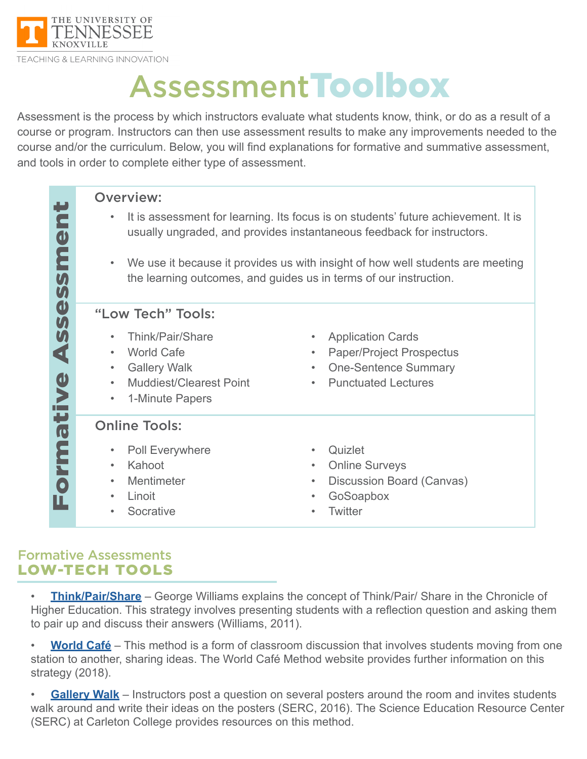

# AssessmentToolbox

Assessment is the process by which instructors evaluate what students know, think, or do as a result of a course or program. Instructors can then use assessment results to make any improvements needed to the course and/or the curriculum. Below, you will find explanations for formative and summative assessment, and tools in order to complete either type of assessment.

| E<br>$\boldsymbol{\omega}$<br>Ē<br>$\boldsymbol{M}$                              | <b>Overview:</b><br>It is assessment for learning. Its focus is on students' future achievement. It is<br>$\bullet$<br>usually ungraded, and provides instantaneous feedback for instructors.<br>We use it because it provides us with insight of how well students are meeting<br>$\bullet$<br>the learning outcomes, and guides us in terms of our instruction. |                                                                                                                                                    |
|----------------------------------------------------------------------------------|-------------------------------------------------------------------------------------------------------------------------------------------------------------------------------------------------------------------------------------------------------------------------------------------------------------------------------------------------------------------|----------------------------------------------------------------------------------------------------------------------------------------------------|
| $\boldsymbol{U}$<br>$\boldsymbol{\omega}$<br>99<br>$\blacktriangleleft$<br>ative | "Low Tech" Tools:<br>Think/Pair/Share<br><b>World Cafe</b><br>$\bullet$<br><b>Gallery Walk</b><br>$\bullet$<br><b>Muddiest/Clearest Point</b><br>1-Minute Papers<br>$\bullet$                                                                                                                                                                                     | <b>Application Cards</b><br><b>Paper/Project Prospectus</b><br>$\bullet$<br><b>One-Sentence Summary</b><br>$\bullet$<br><b>Punctuated Lectures</b> |
| Form                                                                             | <b>Online Tools:</b><br>Poll Everywhere<br>Kahoot<br>$\bullet$<br>Mentimeter<br>$\bullet$<br>Linoit<br>Socrative                                                                                                                                                                                                                                                  | Quizlet<br><b>Online Surveys</b><br>$\bullet$<br>Discussion Board (Canvas)<br>$\bullet$<br>GoSoapbox<br><b>Twitter</b>                             |

#### Formative Assessments LOW-TECH TOOLS

• **[Think/Pair/Share](https://www.chronicle.com/blogs/profhacker/the-simplicity-of-think-pair-share/36094)** – George Williams explains the concept of Think/Pair/ Share in the Chronicle of Higher Education. This strategy involves presenting students with a reflection question and asking them to pair up and discuss their answers (Williams, 2011).

• **[World Café](http://www.theworldcafe.com/key-concepts-resources/world-cafe-method/)** – This method is a form of classroom discussion that involves students moving from one station to another, sharing ideas. The World Café Method website provides further information on this strategy (2018).

• **[Gallery Walk](https://serc.carleton.edu/introgeo/gallerywalk/what.html)** – Instructors post a question on several posters around the room and invites students walk around and write their ideas on the posters (SERC, 2016). The Science Education Resource Center (SERC) at Carleton College provides resources on this method.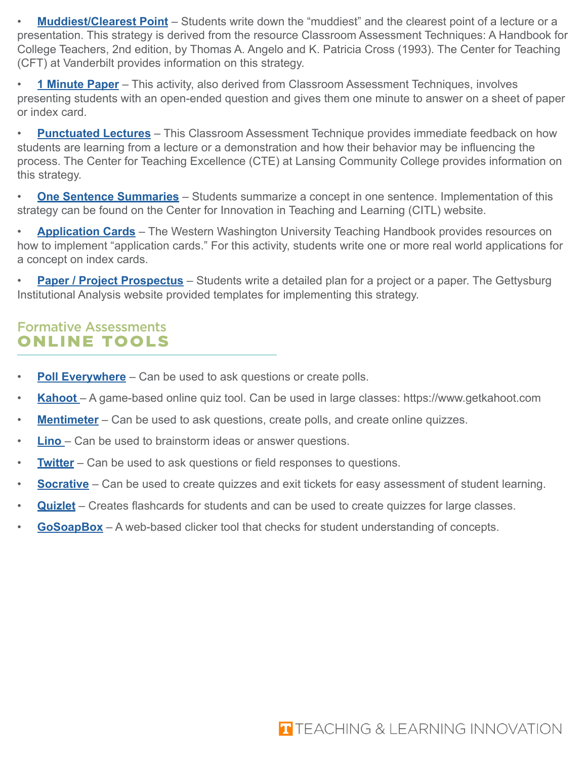• **[Muddiest/Clearest Point](https://cft.vanderbilt.edu/guides-sub-pages/cats/)** – Students write down the "muddiest" and the clearest point of a lecture or a presentation. This strategy is derived from the resource Classroom Assessment Techniques: A Handbook for College Teachers, 2nd edition, by Thomas A. Angelo and K. Patricia Cross (1993). The Center for Teaching (CFT) at Vanderbilt provides information on this strategy.

• **[1 Minute Paper](https://cft.vanderbilt.edu/guides-sub-pages/cats/)** – This activity, also derived from Classroom Assessment Techniques, involves presenting students with an open-ended question and gives them one minute to answer on a sheet of paper or index card.

• **[Punctuated Lectures](https://www.lcc.edu/cte/resources/teachingtips/tip21.aspx)** – This Classroom Assessment Technique provides immediate feedback on how students are learning from a lecture or a demonstration and how their behavior may be influencing the process. The Center for Teaching Excellence (CTE) at Lansing Community College provides information on this strategy.

• **[One Sentence Summaries](http://citl.illinois.edu/citl-101/teaching-learning/resources/teaching-strategies/classroom-assessment-techniques-(cats))** – Students summarize a concept in one sentence. Implementation of this strategy can be found on the Center for Innovation in Teaching and Learning (CITL) website.

• **[Application Cards](https://www.wwu.edu/teachinghandbook/evaluation_of_learning/cat_examples.shtml#application)** – The Western Washington University Teaching Handbook provides resources on how to implement "application cards." For this activity, students write one or more real world applications for a concept on index cards.

• **[Paper / Project Prospectus](http://www.gettysburg.edu/about/offices/ees/institutional_analysis/assessment_/faculty-resources/cats.dot)** – Students write a detailed plan for a project or a paper. The Gettysburg Institutional Analysis website provided templates for implementing this strategy.

### Formative Assessments ONLINE TOOLS

- **[Poll Everywhere](https://www.polleverywhere.com)** Can be used to ask questions or create polls.
- **[Kahoot](https://www.getkahoot.com)**  A game-based online quiz tool. Can be used in large classes: https://www.getkahoot.com
- **[Mentimeter](https://www.mentimeter.com/)** Can be used to ask questions, create polls, and create online quizzes.
- **[Lino](http://en.linoit.com/)** Can be used to brainstorm ideas or answer questions.
- **[Twitter](https://twitter.com/)** Can be used to ask questions or field responses to questions.
- **[Socrative](http://www.socrative.com/)** Can be used to create quizzes and exit tickets for easy assessment of student learning.
- **[Quizlet](http://www.quizlet.com  )** Creates flashcards for students and can be used to create quizzes for large classes.
- **[GoSoapBox](http://www.gosoapbox.com/)** A web-based clicker tool that checks for student understanding of concepts.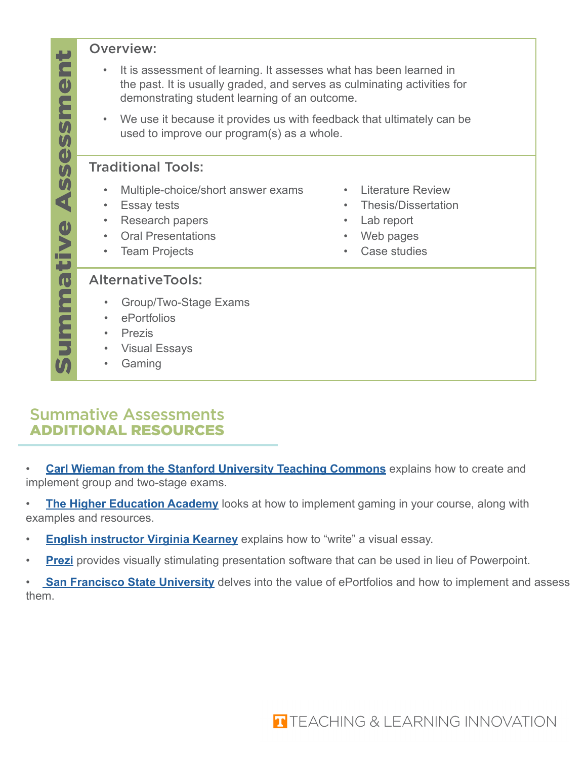#### Overview:

- It is assessment of learning. It assesses what has been learned in the past. It is usually graded, and serves as culminating activities for demonstrating student learning of an outcome.
- We use it because it provides us with feedback that ultimately can be used to improve our program(s) as a whole.

#### Traditional Tools:

- Multiple-choice/short answer exams
- Essay tests
- Research papers
- Oral Presentations
- Team Projects
- Literature Review
- Thesis/Dissertation
- Lab report
- Web pages
- Case studies

#### AlternativeTools:

- Group/Two-Stage Exams
- ePortfolios
- Prezis
- Visual Essays
- Gaming

## Summative Assessments ADDITIONAL RESOURCES

**[Carl Wieman from the Stanford University Teaching Commons](https://teachingcommons.stanford.edu/teaching-talk/turn-exam-learning-experience-two-stage-exams)** explains how to create and implement group and two-stage exams.

**[The Higher Education Academy](https://www.heacademy.ac.uk/knowledge-hub/gamification-and-games-based-learning)** looks at how to implement gaming in your course, along with examples and resources.

- **[English instructor Virginia Kearney](https://owlcation.com/academia/How-to-Write-a-Visual-Essay)** explains how to "write" a visual essay.
- **[Prezi](https://prezi.com)** provides visually stimulating presentation software that can be used in lieu of Powerpoint.

**[San Francisco State University](https://eportfolio.sfsu.edu/faculty/intro)** delves into the value of ePortfolios and how to implement and assess them.